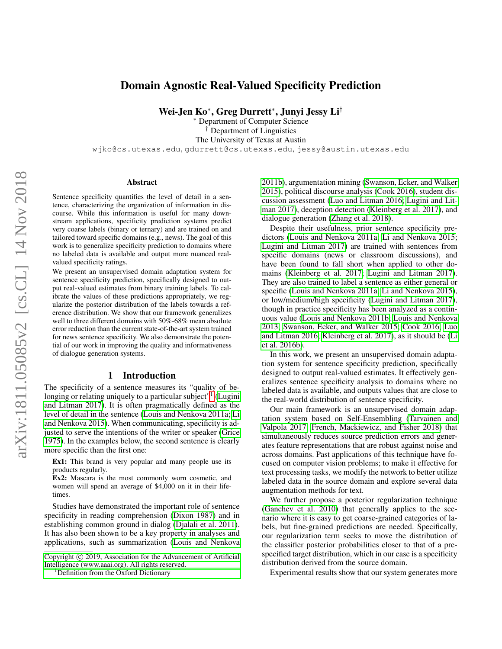# Domain Agnostic Real-Valued Specificity Prediction

Wei-Jen Ko<sup>∗</sup> , Greg Durrett<sup>∗</sup> , Junyi Jessy Li†

<sup>∗</sup> Department of Computer Science Department of Linguistics The University of Texas at Austin wjko@cs.utexas.edu, gdurrett@cs.utexas.edu, jessy@austin.utexas.edu

#### Abstract

Sentence specificity quantifies the level of detail in a sentence, characterizing the organization of information in discourse. While this information is useful for many downstream applications, specificity prediction systems predict very coarse labels (binary or ternary) and are trained on and tailored toward specific domains (e.g., news). The goal of this work is to generalize specificity prediction to domains where no labeled data is available and output more nuanced realvalued specificity ratings.

We present an unsupervised domain adaptation system for sentence specificity prediction, specifically designed to output real-valued estimates from binary training labels. To calibrate the values of these predictions appropriately, we regularize the posterior distribution of the labels towards a reference distribution. We show that our framework generalizes well to three different domains with 50%-68% mean absolute error reduction than the current state-of-the-art system trained for news sentence specificity. We also demonstrate the potential of our work in improving the quality and informativeness of dialogue generation systems.

#### 1 Introduction

The specificity of a sentence measures its "quality of be-longing or relating uniquely to a particular subject"<sup>[1](#page-0-0)</sup> [\(Lugini](#page-7-0) [and Litman 2017\)](#page-7-0). It is often pragmatically defined as the level of detail in the sentence [\(Louis and Nenkova 2011a;](#page-7-1) [Li](#page-7-2) [and Nenkova 2015\)](#page-7-2). When communicating, specificity is adjusted to serve the intentions of the writer or speaker [\(Grice](#page-7-3) [1975\)](#page-7-3). In the examples below, the second sentence is clearly more specific than the first one:

Ex1: This brand is very popular and many people use its products regularly.

Ex2: Mascara is the most commonly worn cosmetic, and women will spend an average of \$4,000 on it in their lifetimes.

Studies have demonstrated the important role of sentence specificity in reading comprehension [\(Dixon 1987\)](#page-6-0) and in establishing common ground in dialog [\(Djalali et al. 2011\)](#page-6-1). It has also been shown to be a key property in analyses and applications, such as summarization [\(Louis and Nenkova](#page-7-4)

<span id="page-0-0"></span><sup>1</sup>[Definition from the Oxford Dictionary](#page-7-4)

[2011b\)](#page-7-4), argumentation mining [\(Swanson, Ecker, and Walker](#page-7-5) [2015\)](#page-7-5), political discourse analysis [\(Cook 2016\)](#page-6-2), student discussion assessment [\(Luo and Litman 2016;](#page-7-6) [Lugini and Lit](#page-7-0)[man 2017\)](#page-7-0), deception detection [\(Kleinberg et al. 2017\)](#page-7-7), and dialogue generation [\(Zhang et al. 2018\)](#page-8-0).

Despite their usefulness, prior sentence specificity predictors [\(Louis and Nenkova 2011a;](#page-7-1) [Li and Nenkova 2015;](#page-7-2) [Lugini and Litman 2017\)](#page-7-0) are trained with sentences from specific domains (news or classroom discussions), and have been found to fall short when applied to other domains [\(Kleinberg et al. 2017;](#page-7-7) [Lugini and Litman 2017\)](#page-7-0). They are also trained to label a sentence as either general or specific [\(Louis and Nenkova 2011a;](#page-7-1) [Li and Nenkova 2015\)](#page-7-2), or low/medium/high specificity [\(Lugini and Litman 2017\)](#page-7-0), though in practice specificity has been analyzed as a continuous value [\(Louis and Nenkova 2011b;](#page-7-4) [Louis and Nenkova](#page-7-8) [2013;](#page-7-8) [Swanson, Ecker, and Walker 2015;](#page-7-5) [Cook 2016;](#page-6-2) [Luo](#page-7-6) [and Litman 2016;](#page-7-6) [Kleinberg et al. 2017\)](#page-7-7), as it should be [\(Li](#page-7-9) [et al. 2016b\)](#page-7-9).

In this work, we present an unsupervised domain adaptation system for sentence specificity prediction, specifically designed to output real-valued estimates. It effectively generalizes sentence specificity analysis to domains where no labeled data is available, and outputs values that are close to the real-world distribution of sentence specificity.

Our main framework is an unsupervised domain adaptation system based on Self-Ensembling [\(Tarvainen and](#page-7-10) [Valpola 2017;](#page-7-10) [French, Mackiewicz, and Fisher 2018\)](#page-6-3) that simultaneously reduces source prediction errors and generates feature representations that are robust against noise and across domains. Past applications of this technique have focused on computer vision problems; to make it effective for text processing tasks, we modify the network to better utilize labeled data in the source domain and explore several data augmentation methods for text.

We further propose a posterior regularization technique [\(Ganchev et al. 2010\)](#page-6-4) that generally applies to the scenario where it is easy to get coarse-grained categories of labels, but fine-grained predictions are needed. Specifically, our regularization term seeks to move the distribution of the classifier posterior probabilities closer to that of a prespecified target distribution, which in our case is a specificity distribution derived from the source domain.

Experimental results show that our system generates more

Copyright  $\odot$  [2019, Association for the Advancement of Artificial](#page-7-4) [Intelligence \(www.aaai.org\). All rights reserved.](#page-7-4)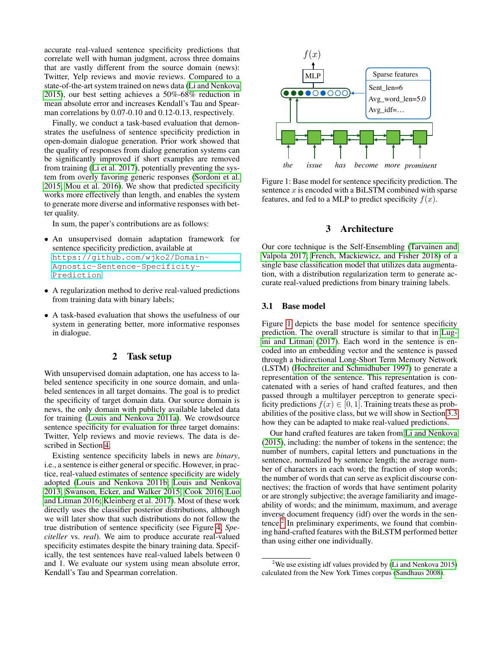accurate real-valued sentence specificity predictions that correlate well with human judgment, across three domains that are vastly different from the source domain (news): Twitter, Yelp reviews and movie reviews. Compared to a state-of-the-art system trained on news data [\(Li and Nenkova](#page-7-2) [2015\)](#page-7-2), our best setting achieves a 50%-68% reduction in mean absolute error and increases Kendall's Tau and Spearman correlations by 0.07-0.10 and 0.12-0.13, respectively.

Finally, we conduct a task-based evaluation that demonstrates the usefulness of sentence specificity prediction in open-domain dialogue generation. Prior work showed that the quality of responses from dialog generation systems can be significantly improved if short examples are removed from training [\(Li et al. 2017\)](#page-7-11), potentially preventing the system from overly favoring generic responses [\(Sordoni et al.](#page-7-12) [2015;](#page-7-12) [Mou et al. 2016\)](#page-7-13). We show that predicted specificity works more effectively than length, and enables the system to generate more diverse and informative responses with better quality.

In sum, the paper's contributions are as follows:

- An unsupervised domain adaptation framework for sentence specificity prediction, available at [https://github.com/wjko2/Domain-](https://github.com/wjko2/Domain-Agnostic-Sentence-Specificity-Prediction)[Agnostic-Sentence-Specificity-](https://github.com/wjko2/Domain-Agnostic-Sentence-Specificity-Prediction)[Prediction](https://github.com/wjko2/Domain-Agnostic-Sentence-Specificity-Prediction)
- A regularization method to derive real-valued predictions from training data with binary labels;
- A task-based evaluation that shows the usefulness of our system in generating better, more informative responses in dialogue.

## 2 Task setup

With unsupervised domain adaptation, one has access to labeled sentence specificity in one source domain, and unlabeled sentences in all target domains. The goal is to predict the specificity of target domain data. Our source domain is news, the only domain with publicly available labeled data for training [\(Louis and Nenkova 2011a\)](#page-7-1). We crowdsource sentence specificity for evaluation for three target domains: Twitter, Yelp reviews and movie reviews. The data is described in Section [4.](#page-3-0)

Existing sentence specificity labels in news are *binary*, i.e., a sentence is either general or specific. However, in practice, real-valued estimates of sentence specificity are widely adopted [\(Louis and Nenkova 2011b;](#page-7-4) [Louis and Nenkova](#page-7-8) [2013;](#page-7-8) [Swanson, Ecker, and Walker 2015;](#page-7-5) [Cook 2016;](#page-6-2) [Luo](#page-7-6) [and Litman 2016;](#page-7-6) [Kleinberg et al. 2017\)](#page-7-7). Most of these work directly uses the classifier posterior distributions, although we will later show that such distributions do not follow the true distribution of sentence specificity (see Figure [4,](#page-5-0) *Speciteller* vs. *real*). We aim to produce accurate real-valued specificity estimates despite the binary training data. Specifically, the test sentences have real-valued labels between 0 and 1. We evaluate our system using mean absolute error, Kendall's Tau and Spearman correlation.



<span id="page-1-0"></span>Figure 1: Base model for sentence specificity prediction. The sentence  $x$  is encoded with a BiLSTM combined with sparse features, and fed to a MLP to predict specificity  $f(x)$ .

## 3 Architecture

Our core technique is the Self-Ensembling [\(Tarvainen and](#page-7-10) [Valpola 2017;](#page-7-10) [French, Mackiewicz, and Fisher 2018\)](#page-6-3) of a single base classification model that utilizes data augmentation, with a distribution regularization term to generate accurate real-valued predictions from binary training labels.

## <span id="page-1-2"></span>3.1 Base model

Figure [1](#page-1-0) depicts the base model for sentence specificity prediction. The overall structure is similar to that in [Lug](#page-7-0)[ini and Litman](#page-7-0) [\(2017\)](#page-7-0). Each word in the sentence is encoded into an embedding vector and the sentence is passed through a bidirectional Long-Short Term Memory Network (LSTM) [\(Hochreiter and Schmidhuber 1997\)](#page-7-14) to generate a representation of the sentence. This representation is concatenated with a series of hand crafted features, and then passed through a multilayer perceptron to generate specificity predictions  $f(x) \in [0, 1]$ . Training treats these as probabilities of the positive class, but we will show in Section [3.3](#page-3-1) how they can be adapted to make real-valued predictions.

Our hand crafted features are taken from [Li and Nenkova](#page-7-2) [\(2015\)](#page-7-2), including: the number of tokens in the sentence; the number of numbers, capital letters and punctuations in the sentence, normalized by sentence length; the average number of characters in each word; the fraction of stop words; the number of words that can serve as explicit discourse connectives; the fraction of words that have sentiment polarity or are strongly subjective; the average familiarity and imageability of words; and the minimum, maximum, and average inverse document frequency (idf) over the words in the sen-tence.<sup>[2](#page-1-1)</sup> In preliminary experiments, we found that combining hand-crafted features with the BiLSTM performed better than using either one individually.

<span id="page-1-1"></span><sup>&</sup>lt;sup>2</sup>We use existing idf values provided by [\(Li and Nenkova 2015\)](#page-7-2) calculated from the New York Times corpus [\(Sandhaus 2008\)](#page-7-15).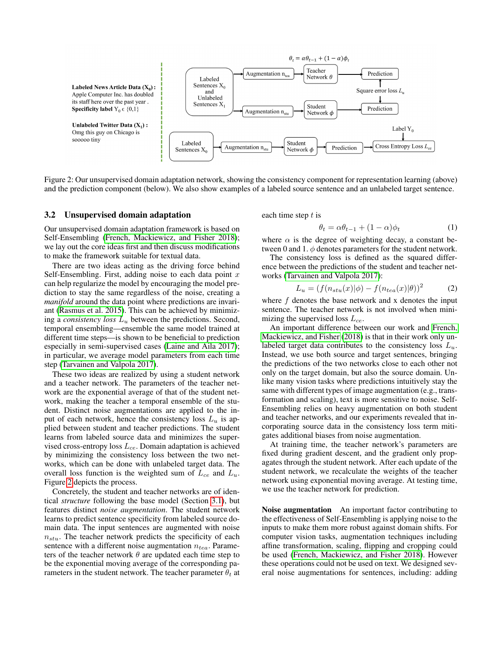

<span id="page-2-0"></span>Figure 2: Our unsupervised domain adaptation network, showing the consistency component for representation learning (above) and the prediction component (below). We also show examples of a labeled source sentence and an unlabeled target sentence.

#### 3.2 Unsupervised domain adaptation

Our unsupervised domain adaptation framework is based on Self-Ensembling [\(French, Mackiewicz, and Fisher 2018\)](#page-6-3); we lay out the core ideas first and then discuss modifications to make the framework suitable for textual data.

There are two ideas acting as the driving force behind Self-Ensembling. First, adding noise to each data point  $x$ can help regularize the model by encouraging the model prediction to stay the same regardless of the noise, creating a *manifold* around the data point where predictions are invariant [\(Rasmus et al. 2015\)](#page-7-16). This can be achieved by minimizing a *consistency loss*  $L<sub>u</sub>$  between the predictions. Second, temporal ensembling—ensemble the same model trained at different time steps—is shown to be beneficial to prediction especially in semi-supervised cases [\(Laine and Aila 2017\)](#page-7-17); in particular, we average model parameters from each time step [\(Tarvainen and Valpola 2017\)](#page-7-10).

These two ideas are realized by using a student network and a teacher network. The parameters of the teacher network are the exponential average of that of the student network, making the teacher a temporal ensemble of the student. Distinct noise augmentations are applied to the input of each network, hence the consistency loss  $L_u$  is applied between student and teacher predictions. The student learns from labeled source data and minimizes the supervised cross-entropy loss  $L_{ce}$ . Domain adaptation is achieved by minimizing the consistency loss between the two networks, which can be done with unlabeled target data. The overall loss function is the weighted sum of  $L_{ce}$  and  $L_u$ . Figure [2](#page-2-0) depicts the process.

Concretely, the student and teacher networks are of identical *structure* following the base model (Section [3.1\)](#page-1-2), but features distinct *noise augmentation*. The student network learns to predict sentence specificity from labeled source domain data. The input sentences are augmented with noise  $n_{stu}$ . The teacher network predicts the specificity of each sentence with a different noise augmentation  $n_{tea}$ . Parameters of the teacher network  $\theta$  are updated each time step to be the exponential moving average of the corresponding parameters in the student network. The teacher parameter  $\theta_t$  at each time step  $t$  is

$$
\theta_t = \alpha \theta_{t-1} + (1 - \alpha)\phi_t \tag{1}
$$

where  $\alpha$  is the degree of weighting decay, a constant between 0 and 1.  $\phi$  denotes parameters for the student network.

The consistency loss is defined as the squared difference between the predictions of the student and teacher networks [\(Tarvainen and Valpola 2017\)](#page-7-10):

$$
L_u = (f(n_{stu}(x)|\phi) - f(n_{tea}(x)|\theta))^2
$$
 (2)

where  $f$  denotes the base network and x denotes the input sentence. The teacher network is not involved when minimizing the supervised loss  $L_{ce}$ .

An important difference between our work and [French,](#page-6-3) [Mackiewicz, and Fisher](#page-6-3) [\(2018\)](#page-6-3) is that in their work only unlabeled target data contributes to the consistency loss  $L_u$ . Instead, we use both source and target sentences, bringing the predictions of the two networks close to each other not only on the target domain, but also the source domain. Unlike many vision tasks where predictions intuitively stay the same with different types of image augmentation (e.g., transformation and scaling), text is more sensitive to noise. Self-Ensembling relies on heavy augmentation on both student and teacher networks, and our experiments revealed that incorporating source data in the consistency loss term mitigates additional biases from noise augmentation.

At training time, the teacher network's parameters are fixed during gradient descent, and the gradient only propagates through the student network. After each update of the student network, we recalculate the weights of the teacher network using exponential moving average. At testing time, we use the teacher network for prediction.

Noise augmentation An important factor contributing to the effectiveness of Self-Ensembling is applying noise to the inputs to make them more robust against domain shifts. For computer vision tasks, augmentation techniques including affine transformation, scaling, flipping and cropping could be used [\(French, Mackiewicz, and Fisher 2018\)](#page-6-3). However these operations could not be used on text. We designed several noise augmentations for sentences, including: adding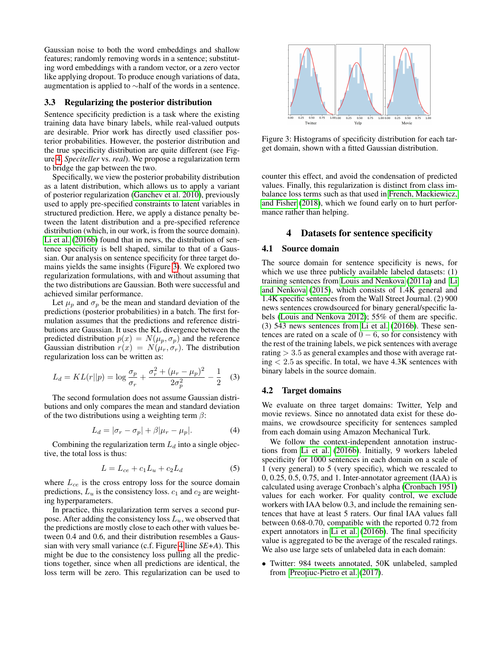Gaussian noise to both the word embeddings and shallow features; randomly removing words in a sentence; substituting word embeddings with a random vector, or a zero vector like applying dropout. To produce enough variations of data, augmentation is applied to ∼half of the words in a sentence.

#### <span id="page-3-1"></span>3.3 Regularizing the posterior distribution

Sentence specificity prediction is a task where the existing training data have binary labels, while real-valued outputs are desirable. Prior work has directly used classifier posterior probabilities. However, the posterior distribution and the true specificity distribution are quite different (see Figure [4,](#page-5-0) *Speciteller* vs. *real*). We propose a regularization term to bridge the gap between the two.

Specifically, we view the posterior probability distribution as a latent distribution, which allows us to apply a variant of posterior regularization [\(Ganchev et al. 2010\)](#page-6-4), previously used to apply pre-specified constraints to latent variables in structured prediction. Here, we apply a distance penalty between the latent distribution and a pre-specified reference distribution (which, in our work, is from the source domain). [Li et al.](#page-7-9) [\(2016b\)](#page-7-9) found that in news, the distribution of sentence specificity is bell shaped, similar to that of a Gaussian. Our analysis on sentence specificity for three target domains yields the same insights (Figure [3\)](#page-3-2). We explored two regularization formulations, with and without assuming that the two distributions are Gaussian. Both were successful and achieved similar performance.

Let  $\mu_p$  and  $\sigma_p$  be the mean and standard deviation of the predictions (posterior probabilities) in a batch. The first formulation assumes that the predictions and reference distributions are Gaussian. It uses the KL divergence between the predicted distribution  $p(x) = N(\mu_n, \sigma_n)$  and the reference Gaussian distribution  $r(x) = N(\mu_r, \sigma_r)$ . The distribution regularization loss can be written as:

<span id="page-3-4"></span>
$$
L_d = KL(r||p) = \log \frac{\sigma_p}{\sigma_r} + \frac{\sigma_r^2 + (\mu_r - \mu_p)^2}{2\sigma_p^2} - \frac{1}{2}
$$
 (3)

The second formulation does not assume Gaussian distributions and only compares the mean and standard deviation of the two distributions using a weighting term  $\beta$ :

<span id="page-3-3"></span>
$$
L_d = |\sigma_r - \sigma_p| + \beta |\mu_r - \mu_p|. \tag{4}
$$

Combining the regularization term  $L_d$  into a single objective, the total loss is thus:

$$
L = L_{ce} + c_1 L_u + c_2 L_d \tag{5}
$$

where  $L_{ce}$  is the cross entropy loss for the source domain predictions,  $L_u$  is the consistency loss.  $c_1$  and  $c_2$  are weighting hyperparameters.

In practice, this regularization term serves a second purpose. After adding the consistency loss  $L_u$ , we observed that the predictions are mostly close to each other with values between 0.4 and 0.6, and their distribution resembles a Gaussian with very small variance (c.f. Figure [4](#page-5-0) line *SE+A*). This might be due to the consistency loss pulling all the predictions together, since when all predictions are identical, the loss term will be zero. This regularization can be used to



<span id="page-3-2"></span>Figure 3: Histograms of specificity distribution for each target domain, shown with a fitted Gaussian distribution.

counter this effect, and avoid the condensation of predicted values. Finally, this regularization is distinct from class imbalance loss terms such as that used in [French, Mackiewicz,](#page-6-3) [and Fisher](#page-6-3) [\(2018\)](#page-6-3), which we found early on to hurt performance rather than helping.

## 4 Datasets for sentence specificity

### <span id="page-3-0"></span>4.1 Source domain

The source domain for sentence specificity is news, for which we use three publicly available labeled datasets: (1) training sentences from [Louis and Nenkova](#page-7-1) [\(2011a\)](#page-7-1) and [Li](#page-7-2) [and Nenkova](#page-7-2) [\(2015\)](#page-7-2), which consists of 1.4K general and 1.4K specific sentences from the Wall Street Journal. (2) 900 news sentences crowdsourced for binary general/specific labels [\(Louis and Nenkova 2012\)](#page-7-18); 55% of them are specific. (3) 543 news sentences from [Li et al.](#page-7-9) [\(2016b\)](#page-7-9). These sentences are rated on a scale of  $0 - 6$ , so for consistency with the rest of the training labels, we pick sentences with average rating  $> 3.5$  as general examples and those with average rat $ing < 2.5$  as specific. In total, we have  $4.3K$  sentences with binary labels in the source domain.

#### 4.2 Target domains

We evaluate on three target domains: Twitter, Yelp and movie reviews. Since no annotated data exist for these domains, we crowdsource specificity for sentences sampled from each domain using Amazon Mechanical Turk.

We follow the context-independent annotation instructions from [Li et al.](#page-7-9) [\(2016b\)](#page-7-9). Initially, 9 workers labeled specificity for 1000 sentences in each domain on a scale of 1 (very general) to 5 (very specific), which we rescaled to 0, 0.25, 0.5, 0.75, and 1. Inter-annotator agreement (IAA) is calculated using average Cronbach's alpha [\(Cronbach 1951\)](#page-6-5) values for each worker. For quality control, we exclude workers with IAA below 0.3, and include the remaining sentences that have at least 5 raters. Our final IAA values fall between 0.68-0.70, compatible with the reported 0.72 from expert annotators in [Li et al.](#page-7-9) [\(2016b\)](#page-7-9). The final specificity value is aggregated to be the average of the rescaled ratings. We also use large sets of unlabeled data in each domain:

• Twitter: 984 tweets annotated, 50K unlabeled, sampled from Preotiuc-Pietro et al. [\(2017\)](#page-7-19).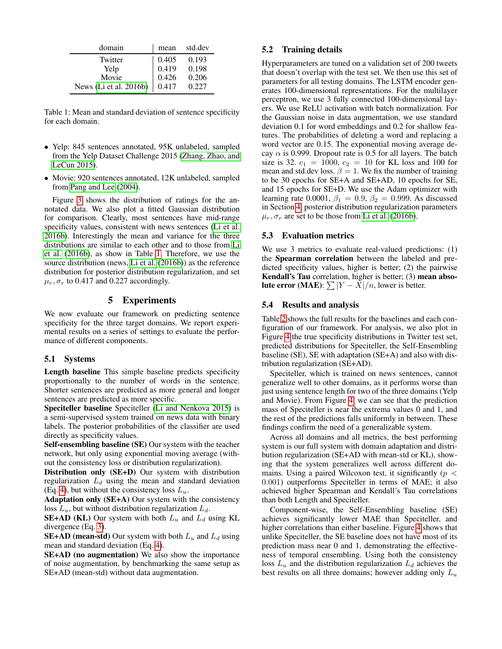| domain                 | mean               | std.dev |
|------------------------|--------------------|---------|
| Twitter                |                    | 0.193   |
| Yelp                   | $0.405$<br>$0.419$ | 0.198   |
| Movie                  | 0.426              | 0.206   |
| News (Li et al. 2016b) | 0.417              | 0.227   |

<span id="page-4-0"></span>Table 1: Mean and standard deviation of sentence specificity for each domain.

- Yelp: 845 sentences annotated, 95K unlabeled, sampled from the Yelp Dataset Challenge 2015 [\(Zhang, Zhao, and](#page-8-1) [LeCun 2015\)](#page-8-1).
- Movie: 920 sentences annotated, 12K unlabeled, sampled from [Pang and Lee](#page-7-20) [\(2004\)](#page-7-20).

Figure [3](#page-3-2) shows the distribution of ratings for the annotated data. We also plot a fitted Gaussian distribution for comparison. Clearly, most sentences have mid-range specificity values, consistent with news sentences [\(Li et al.](#page-7-9) [2016b\)](#page-7-9). Interestingly the mean and variance for the three distributions are similar to each other and to those from [Li](#page-7-9) [et al.](#page-7-9) [\(2016b\)](#page-7-9), as show in Table [1.](#page-4-0) Therefore, we use the source distribution (news, [Li et al.](#page-7-9) [\(2016b\)](#page-7-9)) as the reference distribution for posterior distribution regularization, and set  $\mu_r$ ,  $\sigma_r$  to 0.417 and 0.227 accordingly.

## 5 Experiments

We now evaluate our framework on predicting sentence specificity for the three target domains. We report experimental results on a series of settings to evaluate the performance of different components.

#### 5.1 Systems

Length baseline This simple baseline predicts specificity proportionally to the number of words in the sentence. Shorter sentences are predicted as more general and longer sentences are predicted as more specific.

Speciteller baseline Speciteller [\(Li and Nenkova 2015\)](#page-7-2) is a semi-supervised system trained on news data with binary labels. The posterior probabilities of the classifier are used directly as specificity values.

Self-ensembling baseline (SE) Our system with the teacher network, but only using exponential moving average (without the consistency loss or distribution regularization).

Distribution only (SE+D) Our system with distribution regularization  $L_d$  using the mean and standard deviation (Eq. [4\)](#page-3-3), but without the consistency loss  $L_u$ .

Adaptation only (SE+A) Our system with the consistency loss  $L_u$ , but without distribution regularization  $L_d$ .

**SE+AD (KL)** Our system with both  $L_u$  and  $L_d$  using KL divergence (Eq. [3\)](#page-3-4).

**SE+AD (mean-std)** Our system with both  $L_u$  and  $L_d$  using mean and standard deviation (Eq. [4\)](#page-3-3).

SE+AD (no augmentation) We also show the importance of noise augmentation, by benchmarking the same setup as SE+AD (mean-std) without data augmentation.

## 5.2 Training details

Hyperparameters are tuned on a validation set of 200 tweets that doesn't overlap with the test set. We then use this set of parameters for all testing domains. The LSTM encoder generates 100-dimensional representations. For the multilayer perceptron, we use 3 fully connected 100-dimensional layers. We use ReLU activation with batch normalization. For the Gaussian noise in data augmentation, we use standard deviation 0.1 for word embeddings and 0.2 for shallow features. The probabilities of deleting a word and replacing a word vector are 0.15. The exponential moving average decay  $\alpha$  is 0.999. Dropout rate is 0.5 for all layers. The batch size is 32.  $c_1 = 1000$ ,  $c_2 = 10$  for KL loss and 100 for mean and std.dev loss.  $\beta = 1$ . We fix the number of training to be 30 epochs for SE+A and SE+AD, 10 epochs for SE, and 15 epochs for SE+D. We use the Adam optimizer with learning rate 0.0001,  $\beta_1 = 0.9$ ,  $\beta_2 = 0.999$ . As discussed in Section [4,](#page-3-0) posterior distribution regularization parameters  $\mu_r$ ,  $\sigma_r$  are set to be those from [Li et al.](#page-7-9) [\(2016b\)](#page-7-9).

### 5.3 Evaluation metrics

We use 3 metrics to evaluate real-valued predictions: (1) the Spearman correlation between the labeled and predicted specificity values, higher is better; (2) the pairwise Kendall's Tau correlation, higher is better; (3) mean abso**lute error** (MAE):  $\sum |Y - X|/n$ , lower is better.

### 5.4 Results and analysis

Table [2](#page-5-1) shows the full results for the baselines and each configuration of our framework. For analysis, we also plot in Figure [4](#page-5-0) the true specificity distributions in Twitter test set, predicted distributions for Speciteller, the Self-Ensembling baseline (SE), SE with adaptation (SE+A) and also with distribution regularization (SE+AD).

Speciteller, which is trained on news sentences, cannot generalize well to other domains, as it performs worse than just using sentence length for two of the three domains (Yelp and Movie). From Figure [4,](#page-5-0) we can see that the prediction mass of Speciteller is near the extrema values 0 and 1, and the rest of the predictions falls uniformly in between. These findings confirm the need of a generalizable system.

Across all domains and all metrics, the best performing system is our full system with domain adaptation and distribution regularization (SE+AD with mean-std or KL), showing that the system generalizes well across different domains. Using a paired Wilcoxon test, it significantly ( $p <$ 0.001) outperforms Speciteller in terms of MAE; it also achieved higher Spearman and Kendall's Tau correlations than both Length and Speciteller.

Component-wise, the Self-Ensembling baseline (SE) achieves significantly lower MAE than Speciteller, and higher correlations than either baseline. Figure [4](#page-5-0) shows that unlike Speciteller, the SE baseline does not have most of its prediction mass near 0 and 1, demonstrating the effectiveness of temporal ensembling. Using both the consistency loss  $L_u$  and the distribution regularization  $L_d$  achieves the best results on all three domains; however adding only  $L_u$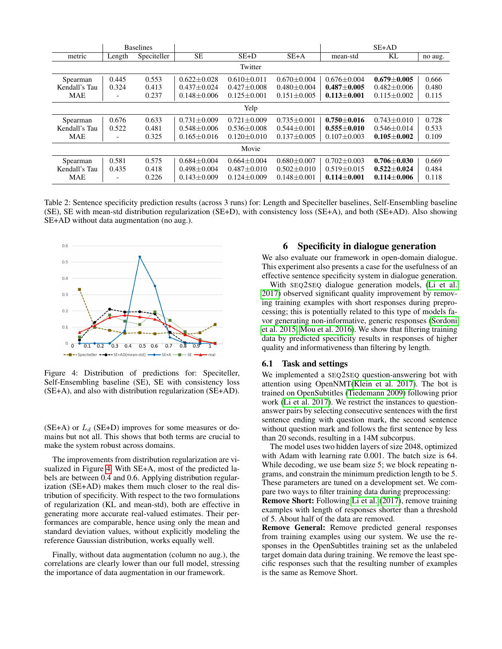|               | <b>Baselines</b>         |             |                   |                   |                   |                   | $SE+AD$           |         |
|---------------|--------------------------|-------------|-------------------|-------------------|-------------------|-------------------|-------------------|---------|
| metric        | Length                   | Speciteller | SE                | $SE+D$            | $SE+A$            | mean-std          | KL                | no aug. |
|               |                          |             |                   | Twitter           |                   |                   |                   |         |
| Spearman      | 0.445                    | 0.553       | $0.622 + 0.028$   | $0.610 \pm 0.011$ | $0.670 + 0.004$   | $0.676 \pm 0.004$ | $0.679 \pm 0.005$ | 0.666   |
| Kendall's Tau | 0.324                    | 0.413       | $0.437 + 0.024$   | $0.427 + 0.008$   | $0.480 + 0.004$   | $0.487 + 0.005$   | $0.482 + 0.006$   | 0.480   |
| <b>MAE</b>    | $\overline{a}$           | 0.237       | $0.148 \pm 0.006$ | $0.125 + 0.001$   | $0.151 \pm 0.005$ | $0.113 \pm 0.001$ | $0.115 \pm 0.002$ | 0.115   |
| Yelp          |                          |             |                   |                   |                   |                   |                   |         |
| Spearman      | 0.676                    | 0.633       | $0.731 \pm 0.009$ | $0.721 \pm 0.009$ | $0.735 \pm 0.001$ | $0.750 + 0.016$   | $0.743 \pm 0.010$ | 0.728   |
| Kendall's Tau | 0.522                    | 0.481       | $0.548 + 0.006$   | $0.536 + 0.008$   | $0.544 \pm 0.001$ | $0.555 + 0.010$   | $0.546 + 0.014$   | 0.533   |
| <b>MAE</b>    | $\overline{\phantom{0}}$ | 0.325       | $0.165 \pm 0.016$ | $0.120 \pm 0.010$ | $0.137 \pm 0.005$ | $0.107 \pm 0.003$ | $0.105 \pm 0.002$ | 0.109   |
| Movie         |                          |             |                   |                   |                   |                   |                   |         |
| Spearman      | 0.581                    | 0.575       | $0.684 \pm 0.004$ | $0.664 + 0.004$   | $0.680 + 0.007$   | $0.702 + 0.003$   | $0.706 + 0.030$   | 0.669   |
| Kendall's Tau | 0.435                    | 0.418       | $0.498 \pm 0.004$ | $0.487 \pm 0.010$ | $0.502 \pm 0.010$ | $0.519 \pm 0.015$ | $0.522 \pm 0.024$ | 0.484   |
| <b>MAE</b>    | ٠                        | 0.226       | $0.143 \pm 0.009$ | $0.124 \pm 0.009$ | $0.148 \pm 0.001$ | $0.114\pm0.001$   | $0.114 \pm 0.006$ | 0.118   |

<span id="page-5-1"></span>Table 2: Sentence specificity prediction results (across 3 runs) for: Length and Speciteller baselines, Self-Ensembling baseline (SE), SE with mean-std distribution regularization (SE+D), with consistency loss (SE+A), and both (SE+AD). Also showing SE+AD without data augmentation (no aug.).



<span id="page-5-0"></span>Figure 4: Distribution of predictions for: Speciteller, Self-Ensembling baseline (SE), SE with consistency loss (SE+A), and also with distribution regularization (SE+AD).

(SE+A) or  $L_d$  (SE+D) improves for some measures or domains but not all. This shows that both terms are crucial to make the system robust across domains.

The improvements from distribution regularization are visualized in Figure [4.](#page-5-0) With SE+A, most of the predicted labels are between 0.4 and 0.6. Applying distribution regularization (SE+AD) makes them much closer to the real distribution of specificity. With respect to the two formulations of regularization (KL and mean-std), both are effective in generating more accurate real-valued estimates. Their performances are comparable, hence using only the mean and standard deviation values, without explicitly modeling the reference Gaussian distribution, works equally well.

Finally, without data augmentation (column no aug.), the correlations are clearly lower than our full model, stressing the importance of data augmentation in our framework.

## 6 Specificity in dialogue generation

We also evaluate our framework in open-domain dialogue. This experiment also presents a case for the usefulness of an effective sentence specificity system in dialogue generation.

With SEQ2SEQ dialogue generation models, [\(Li et al.](#page-7-11) [2017\)](#page-7-11) observed significant quality improvement by removing training examples with short responses during preprocessing; this is potentially related to this type of models favor generating non-informative, generic responses [\(Sordoni](#page-7-12) [et al. 2015;](#page-7-12) [Mou et al. 2016\)](#page-7-13). We show that filtering training data by predicted specificity results in responses of higher quality and informativeness than filtering by length.

## 6.1 Task and settings

We implemented a SEQ2SEQ question-answering bot with attention using OpenNMT[\(Klein et al. 2017\)](#page-7-21). The bot is trained on OpenSubtitles [\(Tiedemann 2009\)](#page-7-22) following prior work [\(Li et al. 2017\)](#page-7-11). We restrict the instances to questionanswer pairs by selecting consecutive sentences with the first sentence ending with question mark, the second sentence without question mark and follows the first sentence by less than 20 seconds, resulting in a 14M subcorpus.

The model uses two hidden layers of size 2048, optimized with Adam with learning rate 0.001. The batch size is 64. While decoding, we use beam size 5; we block repeating ngrams, and constrain the minimum prediction length to be 5. These parameters are tuned on a development set. We compare two ways to filter training data during preprocessing:

Remove Short: Following [Li et al.](#page-7-11) [\(2017\)](#page-7-11), remove training examples with length of responses shorter than a threshold of 5. About half of the data are removed.

Remove General: Remove predicted general responses from training examples using our system. We use the responses in the OpenSubtitles training set as the unlabeled target domain data during training. We remove the least specific responses such that the resulting number of examples is the same as Remove Short.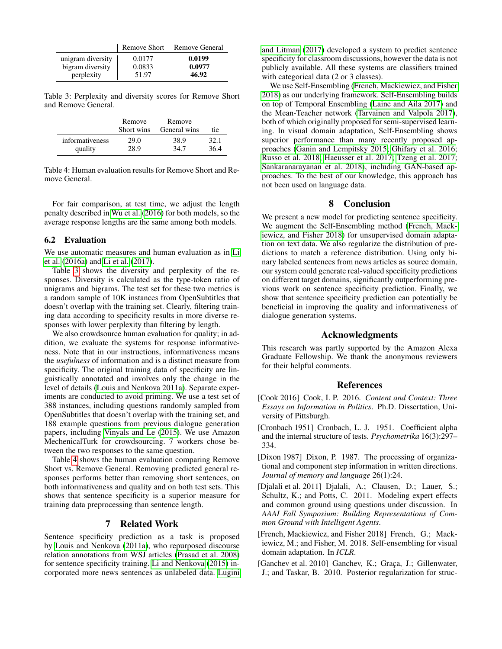|                   | Remove Short | Remove General |
|-------------------|--------------|----------------|
| unigram diversity | 0.0177       | 0.0199         |
| bigram diversity  | 0.0833       | 0.0977         |
| perplexity        | 51.97        | 46.92          |

<span id="page-6-6"></span>Table 3: Perplexity and diversity scores for Remove Short and Remove General.

|                 | Remove<br>Short wins | Remove<br>General wins | tie  |
|-----------------|----------------------|------------------------|------|
| informativeness | 29.0                 | 38.9                   | 32.1 |
| quality         | 28.9                 | 34.7                   | 36.4 |

<span id="page-6-7"></span>Table 4: Human evaluation results for Remove Short and Remove General.

For fair comparison, at test time, we adjust the length penalty described in [Wu et al.](#page-7-23) [\(2016\)](#page-7-23) for both models, so the average response lengths are the same among both models.

#### 6.2 Evaluation

We use automatic measures and human evaluation as in [Li](#page-7-24) [et al.](#page-7-24) [\(2016a\)](#page-7-24) and [Li et al.](#page-7-11) [\(2017\)](#page-7-11).

Table [3](#page-6-6) shows the diversity and perplexity of the responses. Diversity is calculated as the type-token ratio of unigrams and bigrams. The test set for these two metrics is a random sample of 10K instances from OpenSubtitles that doesn't overlap with the training set. Clearly, filtering training data according to specificity results in more diverse responses with lower perplexity than filtering by length.

We also crowdsource human evaluation for quality; in addition, we evaluate the systems for response informativeness. Note that in our instructions, informativeness means the *usefulness* of information and is a distinct measure from specificity. The original training data of specificity are linguistically annotated and involves only the change in the level of details [\(Louis and Nenkova 2011a\)](#page-7-1). Separate experiments are conducted to avoid priming. We use a test set of 388 instances, including questions randomly sampled from OpenSubtitles that doesn't overlap with the training set, and 188 example questions from previous dialogue generation papers, including [Vinyals and Le](#page-7-25) [\(2015\)](#page-7-25). We use Amazon MechenicalTurk for crowdsourcing. 7 workers chose between the two responses to the same question.

Table [4](#page-6-7) shows the human evaluation comparing Remove Short vs. Remove General. Removing predicted general responses performs better than removing short sentences, on both informativeness and quality and on both test sets. This shows that sentence specificity is a superior measure for training data preprocessing than sentence length.

## 7 Related Work

Sentence specificity prediction as a task is proposed by [Louis and Nenkova](#page-7-1) [\(2011a\)](#page-7-1), who repurposed discourse relation annotations from WSJ articles [\(Prasad et al. 2008\)](#page-7-26) for sentence specificity training. [Li and Nenkova](#page-7-2) [\(2015\)](#page-7-2) incorporated more news sentences as unlabeled data. [Lugini](#page-7-0)

[and Litman](#page-7-0) [\(2017\)](#page-7-0) developed a system to predict sentence specificity for classroom discussions, however the data is not publicly available. All these systems are classifiers trained with categorical data (2 or 3 classes).

We use Self-Ensembling [\(French, Mackiewicz, and Fisher](#page-6-3) [2018\)](#page-6-3) as our underlying framework. Self-Ensembling builds on top of Temporal Ensembling [\(Laine and Aila 2017\)](#page-7-17) and the Mean-Teacher network [\(Tarvainen and Valpola 2017\)](#page-7-10), both of which originally proposed for semi-supervised learning. In visual domain adaptation, Self-Ensembling shows superior performance than many recently proposed approaches [\(Ganin and Lempitsky 2015;](#page-7-27) [Ghifary et al. 2016;](#page-7-28) [Russo et al. 2018;](#page-7-29) [Haeusser et al. 2017;](#page-7-30) [Tzeng et al. 2017;](#page-7-31) [Sankaranarayanan et al. 2018\)](#page-7-32), including GAN-based approaches. To the best of our knowledge, this approach has not been used on language data.

## 8 Conclusion

We present a new model for predicting sentence specificity. We augment the Self-Ensembling method [\(French, Mack](#page-6-3)[iewicz, and Fisher 2018\)](#page-6-3) for unsupervised domain adaptation on text data. We also regularize the distribution of predictions to match a reference distribution. Using only binary labeled sentences from news articles as source domain, our system could generate real-valued specificity predictions on different target domains, significantly outperforming previous work on sentence specificity prediction. Finally, we show that sentence specificity prediction can potentially be beneficial in improving the quality and informativeness of dialogue generation systems.

## Acknowledgments

This research was partly supported by the Amazon Alexa Graduate Fellowship. We thank the anonymous reviewers for their helpful comments.

## References

- <span id="page-6-2"></span>[Cook 2016] Cook, I. P. 2016. *Content and Context: Three Essays on Information in Politics*. Ph.D. Dissertation, University of Pittsburgh.
- <span id="page-6-5"></span>[Cronbach 1951] Cronbach, L. J. 1951. Coefficient alpha and the internal structure of tests. *Psychometrika* 16(3):297– 334.
- <span id="page-6-0"></span>[Dixon 1987] Dixon, P. 1987. The processing of organizational and component step information in written directions. *Journal of memory and language* 26(1):24.
- <span id="page-6-1"></span>[Djalali et al. 2011] Djalali, A.; Clausen, D.; Lauer, S.; Schultz, K.; and Potts, C. 2011. Modeling expert effects and common ground using questions under discussion. In *AAAI Fall Symposium: Building Representations of Common Ground with Intelligent Agents*.
- <span id="page-6-3"></span>[French, Mackiewicz, and Fisher 2018] French, G.; Mackiewicz, M.; and Fisher, M. 2018. Self-ensembling for visual domain adaptation. In *ICLR*.
- <span id="page-6-4"></span>[Ganchev et al. 2010] Ganchev, K.; Graça, J.; Gillenwater, J.; and Taskar, B. 2010. Posterior regularization for struc-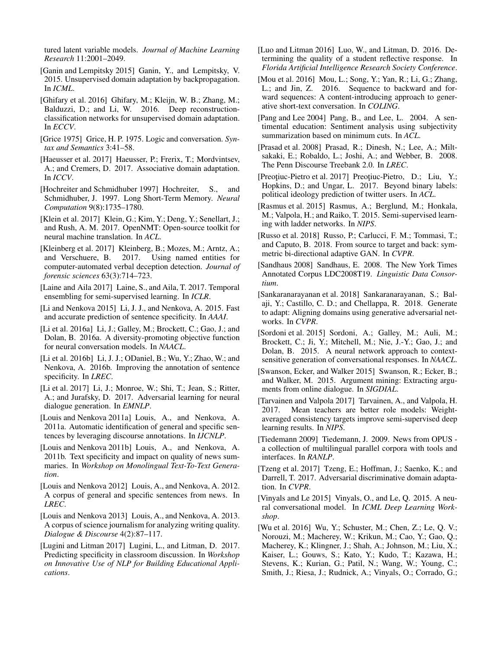tured latent variable models. *Journal of Machine Learning Research* 11:2001–2049.

<span id="page-7-27"></span>[Ganin and Lempitsky 2015] Ganin, Y., and Lempitsky, V. 2015. Unsupervised domain adaptation by backpropagation. In *ICML*.

<span id="page-7-28"></span>[Ghifary et al. 2016] Ghifary, M.; Kleijn, W. B.; Zhang, M.; Balduzzi, D.; and Li, W. 2016. Deep reconstructionclassification networks for unsupervised domain adaptation. In *ECCV*.

<span id="page-7-3"></span>[Grice 1975] Grice, H. P. 1975. Logic and conversation. *Syntax and Semantics* 3:41–58.

<span id="page-7-30"></span>[Haeusser et al. 2017] Haeusser, P.; Frerix, T.; Mordvintsev, A.; and Cremers, D. 2017. Associative domain adaptation. In *ICCV*.

<span id="page-7-14"></span>[Hochreiter and Schmidhuber 1997] Hochreiter, S., and Schmidhuber, J. 1997. Long Short-Term Memory. *Neural Computation* 9(8):1735–1780.

<span id="page-7-21"></span>[Klein et al. 2017] Klein, G.; Kim, Y.; Deng, Y.; Senellart, J.; and Rush, A. M. 2017. OpenNMT: Open-source toolkit for neural machine translation. In *ACL*.

<span id="page-7-7"></span>[Kleinberg et al. 2017] Kleinberg, B.; Mozes, M.; Arntz, A.; and Verschuere, B. 2017. Using named entities for computer-automated verbal deception detection. *Journal of forensic sciences* 63(3):714–723.

<span id="page-7-17"></span>[Laine and Aila 2017] Laine, S., and Aila, T. 2017. Temporal ensembling for semi-supervised learning. In *ICLR*.

<span id="page-7-2"></span>[Li and Nenkova 2015] Li, J. J., and Nenkova, A. 2015. Fast and accurate prediction of sentence specificity. In *AAAI*.

<span id="page-7-24"></span>[Li et al. 2016a] Li, J.; Galley, M.; Brockett, C.; Gao, J.; and Dolan, B. 2016a. A diversity-promoting objective function for neural conversation models. In *NAACL*.

<span id="page-7-9"></span>[Li et al. 2016b] Li, J. J.; ODaniel, B.; Wu, Y.; Zhao, W.; and Nenkova, A. 2016b. Improving the annotation of sentence specificity. In *LREC*.

<span id="page-7-11"></span>[Li et al. 2017] Li, J.; Monroe, W.; Shi, T.; Jean, S.; Ritter, A.; and Jurafsky, D. 2017. Adversarial learning for neural dialogue generation. In *EMNLP*.

<span id="page-7-1"></span>[Louis and Nenkova 2011a] Louis, A., and Nenkova, A. 2011a. Automatic identification of general and specific sentences by leveraging discourse annotations. In *IJCNLP*.

<span id="page-7-4"></span>[Louis and Nenkova 2011b] Louis, A., and Nenkova, A. 2011b. Text specificity and impact on quality of news summaries. In *Workshop on Monolingual Text-To-Text Generation*.

<span id="page-7-18"></span>[Louis and Nenkova 2012] Louis, A., and Nenkova, A. 2012. A corpus of general and specific sentences from news. In *LREC*.

<span id="page-7-8"></span>[Louis and Nenkova 2013] Louis, A., and Nenkova, A. 2013. A corpus of science journalism for analyzing writing quality. *Dialogue & Discourse* 4(2):87–117.

<span id="page-7-0"></span>[Lugini and Litman 2017] Lugini, L., and Litman, D. 2017. Predicting specificity in classroom discussion. In *Workshop on Innovative Use of NLP for Building Educational Applications*.

<span id="page-7-6"></span>[Luo and Litman 2016] Luo, W., and Litman, D. 2016. Determining the quality of a student reflective response. In *Florida Artificial Intelligence Research Society Conference*.

<span id="page-7-13"></span>[Mou et al. 2016] Mou, L.; Song, Y.; Yan, R.; Li, G.; Zhang, L.; and Jin, Z. 2016. Sequence to backward and forward sequences: A content-introducing approach to generative short-text conversation. In *COLING*.

<span id="page-7-20"></span>[Pang and Lee 2004] Pang, B., and Lee, L. 2004. A sentimental education: Sentiment analysis using subjectivity summarization based on minimum cuts. In *ACL*.

<span id="page-7-26"></span>[Prasad et al. 2008] Prasad, R.; Dinesh, N.; Lee, A.; Miltsakaki, E.; Robaldo, L.; Joshi, A.; and Webber, B. 2008. The Penn Discourse Treebank 2.0. In *LREC*.

<span id="page-7-19"></span>[Preotiuc-Pietro et al. 2017] Preotiuc-Pietro, D.; Liu, Y.; Hopkins, D.; and Ungar, L. 2017. Beyond binary labels: political ideology prediction of twitter users. In *ACL*.

<span id="page-7-16"></span>[Rasmus et al. 2015] Rasmus, A.; Berglund, M.; Honkala, M.; Valpola, H.; and Raiko, T. 2015. Semi-supervised learning with ladder networks. In *NIPS*.

<span id="page-7-29"></span>[Russo et al. 2018] Russo, P.; Carlucci, F. M.; Tommasi, T.; and Caputo, B. 2018. From source to target and back: symmetric bi-directional adaptive GAN. In *CVPR*.

<span id="page-7-15"></span>[Sandhaus 2008] Sandhaus, E. 2008. The New York Times Annotated Corpus LDC2008T19. *Linguistic Data Consortium*.

<span id="page-7-32"></span>[Sankaranarayanan et al. 2018] Sankaranarayanan, S.; Balaji, Y.; Castillo, C. D.; and Chellappa, R. 2018. Generate to adapt: Aligning domains using generative adversarial networks. In *CVPR*.

<span id="page-7-12"></span>[Sordoni et al. 2015] Sordoni, A.; Galley, M.; Auli, M.; Brockett, C.; Ji, Y.; Mitchell, M.; Nie, J.-Y.; Gao, J.; and Dolan, B. 2015. A neural network approach to contextsensitive generation of conversational responses. In *NAACL*.

<span id="page-7-5"></span>[Swanson, Ecker, and Walker 2015] Swanson, R.; Ecker, B.; and Walker, M. 2015. Argument mining: Extracting arguments from online dialogue. In *SIGDIAL*.

<span id="page-7-10"></span>[Tarvainen and Valpola 2017] Tarvainen, A., and Valpola, H. 2017. Mean teachers are better role models: Weightaveraged consistency targets improve semi-supervised deep learning results. In *NIPS*.

<span id="page-7-22"></span>[Tiedemann 2009] Tiedemann, J. 2009. News from OPUS a collection of multilingual parallel corpora with tools and interfaces. In *RANLP*.

<span id="page-7-31"></span>[Tzeng et al. 2017] Tzeng, E.; Hoffman, J.; Saenko, K.; and Darrell, T. 2017. Adversarial discriminative domain adaptation. In *CVPR*.

<span id="page-7-25"></span>[Vinyals and Le 2015] Vinyals, O., and Le, Q. 2015. A neural conversational model. In *ICML Deep Learning Workshop*.

<span id="page-7-23"></span>[Wu et al. 2016] Wu, Y.; Schuster, M.; Chen, Z.; Le, Q. V.; Norouzi, M.; Macherey, W.; Krikun, M.; Cao, Y.; Gao, Q.; Macherey, K.; Klingner, J.; Shah, A.; Johnson, M.; Liu, X.; Kaiser, L.; Gouws, S.; Kato, Y.; Kudo, T.; Kazawa, H.; Stevens, K.; Kurian, G.; Patil, N.; Wang, W.; Young, C.; Smith, J.; Riesa, J.; Rudnick, A.; Vinyals, O.; Corrado, G.;